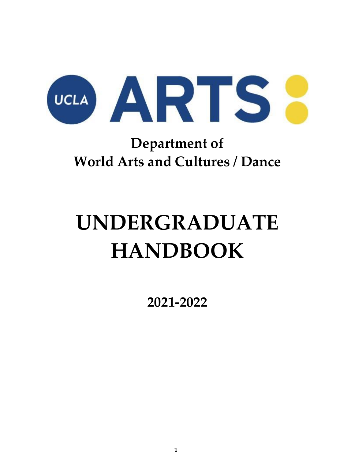

# **Department of World Arts and Cultures / Dance**

# **UNDERGRADUATE HANDBOOK**

**2021-2022**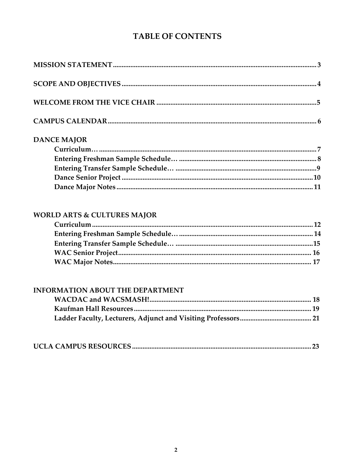## **TABLE OF CONTENTS**

| <b>DANCE MAJOR</b> |  |
|--------------------|--|
|                    |  |
|                    |  |
|                    |  |
|                    |  |
|                    |  |

## WORLD ARTS & CULTURES MAJOR

#### **INFORMATION ABOUT THE DEPARTMENT**

|--|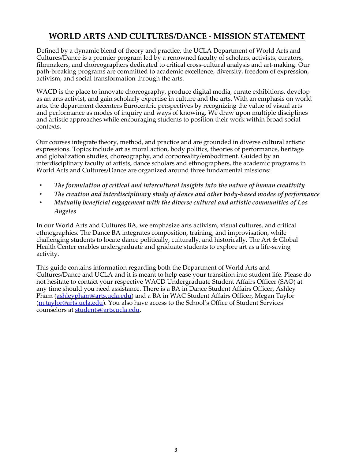## **WORLD ARTS AND CULTURES/DANCE - MISSION STATEMENT**

Defined by a dynamic blend of theory and practice, the UCLA Department of World Arts and Cultures/Dance is a premier program led by a renowned faculty of scholars, activists, curators, filmmakers, and choreographers dedicated to critical cross-cultural analysis and art-making. Our path-breaking programs are committed to academic excellence, diversity, freedom of expression, activism, and social transformation through the arts.

WACD is the place to innovate choreography, produce digital media, curate exhibitions, develop as an arts activist, and gain scholarly expertise in culture and the arts. With an emphasis on world arts, the department decenters Eurocentric perspectives by recognizing the value of visual arts and performance as modes of inquiry and ways of knowing. We draw upon multiple disciplines and artistic approaches while encouraging students to position their work within broad social contexts.

Our courses integrate theory, method, and practice and are grounded in diverse cultural artistic expressions. Topics include art as moral action, body politics, theories of performance, heritage and globalization studies, choreography, and corporeality/embodiment. Guided by an interdisciplinary faculty of artists, dance scholars and ethnographers, the academic programs in World Arts and Cultures/Dance are organized around three fundamental missions:

- *• The formulation of critical and intercultural insights into the nature of human creativity*
- *• The creation and interdisciplinary study of dance and other body-based modes of performance*
- *• Mutually beneficial engagement with the diverse cultural and artistic communities of Los Angeles*

In our World Arts and Cultures BA, we emphasize arts activism, visual cultures, and critical ethnographies. The Dance BA integrates composition, training, and improvisation, while challenging students to locate dance politically, culturally, and historically. The Art & Global Health Center enables undergraduate and graduate students to explore art as a life-saving activity.

This guide contains information regarding both the Department of World Arts and Cultures/Dance and UCLA and it is meant to help ease your transition into student life. Please do not hesitate to contact your respective WACD Undergraduate Student Affairs Officer (SAO) at any time should you need assistance. There is a BA in Dance Student Affairs Officer, Ashley Pham [\(ashleypham@arts.ucla.edu\)](mailto:ashleypham@arts.ucla.edu) and a BA in WAC Student Affairs Officer, Megan Taylor [\(m.taylor@arts.ucla.edu\)](mailto:m.taylor@arts.ucla.edu). You also have access to the School's Office of Student Services counselors at [students@arts.ucla.edu.](mailto:students@arts.ucla.edu)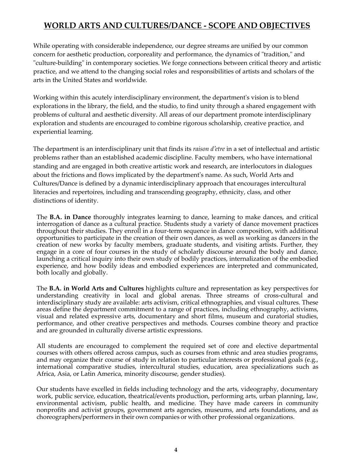## **WORLD ARTS AND CULTURES/DANCE - SCOPE AND OBJECTIVES**

While operating with considerable independence, our degree streams are unified by our common concern for aesthetic production, corporeality and performance, the dynamics of "tradition," and "culture-building" in contemporary societies. We forge connections between critical theory and artistic practice, and we attend to the changing social roles and responsibilities of artists and scholars of the arts in the United States and worldwide.

Working within this acutely interdisciplinary environment, the department's vision is to blend explorations in the library, the field, and the studio, to find unity through a shared engagement with problems of cultural and aesthetic diversity. All areas of our department promote interdisciplinary exploration and students are encouraged to combine rigorous scholarship, creative practice, and experiential learning.

The department is an interdisciplinary unit that finds its *raison d'etre* in a set of intellectual and artistic problems rather than an established academic discipline. Faculty members, who have international standing and are engaged in both creative artistic work and research, are interlocutors in dialogues about the frictions and flows implicated by the department's name. As such, World Arts and Cultures/Dance is defined by a dynamic interdisciplinary approach that encourages intercultural literacies and repertoires, including and transcending geography, ethnicity, class, and other distinctions of identity.

The **B.A. in Dance** thoroughly integrates learning to dance, learning to make dances, and critical interrogation of dance as a cultural practice. Students study a variety of dance movement practices throughout their studies. They enroll in a four-term sequence in dance composition, with additional opportunities to participate in the creation of their own dances, as well as working as dancers in the creation of new works by faculty members, graduate students, and visiting artists. Further, they engage in a core of four courses in the study of scholarly discourse around the body and dance, launching a critical inquiry into their own study of bodily practices, internalization of the embodied experience, and how bodily ideas and embodied experiences are interpreted and communicated, both locally and globally.

The **B.A. in World Arts and Cultures** highlights culture and representation as key perspectives for understanding creativity in local and global arenas. Three streams of cross-cultural and interdisciplinary study are available: arts activism, critical ethnographies, and visual cultures. These areas define the department commitment to a range of practices, including ethnography, activisms, visual and related expressive arts, documentary and short films, museum and curatorial studies, performance, and other creative perspectives and methods. Courses combine theory and practice and are grounded in culturally diverse artistic expressions.

All students are encouraged to complement the required set of core and elective departmental courses with others offered across campus, such as courses from ethnic and area studies programs, and may organize their course of study in relation to particular interests or professional goals (e.g., international comparative studies, intercultural studies, education, area specializations such as Africa, Asia, or Latin America, minority discourse, gender studies).

Our students have excelled in fields including technology and the arts, videography, documentary work, public service, education, theatrical/events production, performing arts, urban planning, law, environmental activism, public health, and medicine. They have made careers in community nonprofits and activist groups, government arts agencies, museums, and arts foundations, and as choreographers/performers in their own companies or with other professional organizations.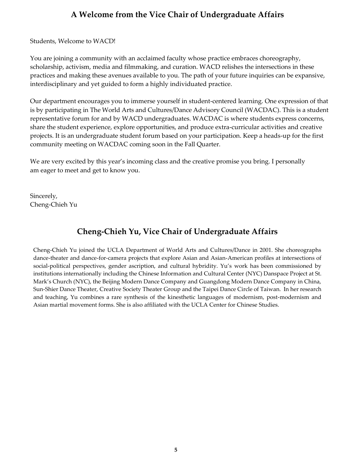## **A Welcome from the Vice Chair of Undergraduate Affairs**

Students, Welcome to WACD!

You are joining a community with an acclaimed faculty whose practice embraces choreography, scholarship, activism, media and filmmaking, and curation. WACD relishes the intersections in these practices and making these avenues available to you. The path of your future inquiries can be expansive, interdisciplinary and yet guided to form a highly individuated practice.

Our department encourages you to immerse yourself in student-centered learning. One expression of that is by participating in The World Arts and Cultures/Dance Advisory Council (WACDAC). This is a student representative forum for and by WACD undergraduates. WACDAC is where students express concerns, share the student experience, explore opportunities, and produce extra-curricular activities and creative projects. It is an undergraduate student forum based on your participation. Keep a heads-up for the first community meeting on WACDAC coming soon in the Fall Quarter.

We are very excited by this year's incoming class and the creative promise you bring. I personally am eager to meet and get to know you.

Sincerely, Cheng-Chieh Yu

## **Cheng-Chieh Yu, Vice Chair of Undergraduate Affairs**

Cheng-Chieh Yu joined the UCLA Department of World Arts and Cultures/Dance in 2001. She choreographs dance-theater and dance-for-camera projects that explore Asian and Asian-American profiles at intersections of social-political perspectives, gender ascription, and cultural hybridity. Yu's work has been commissioned by institutions internationally including the Chinese Information and Cultural Center (NYC) Danspace Project at St. Mark's Church (NYC), the Beijing Modern Dance Company and Guangdong Modern Dance Company in China, Sun-Shier Dance Theater, Creative Society Theater Group and the Taipei Dance Circle of Taiwan. In her research and teaching, Yu combines a rare synthesis of the kinesthetic languages of modernism, post-modernism and Asian martial movement forms. She is also affiliated with the UCLA Center for Chinese Studies.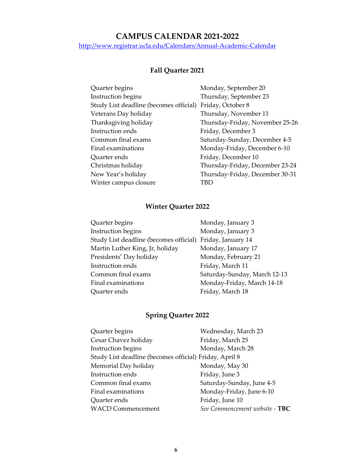#### **CAMPUS CALENDAR 2021-2022**

<http://www.registrar.ucla.edu/Calendars/Annual-Academic-Calendar>

#### **Fall Quarter 2021**

| Quarter begins                         | Monday, September 20            |
|----------------------------------------|---------------------------------|
| Instruction begins                     | Thursday, September 23          |
| Study List deadline (becomes official) | Friday, October 8               |
| Veterans Day holiday                   | Thursday, November 11           |
| Thanksgiving holiday                   | Thursday-Friday, November 25-26 |
| Instruction ends                       | Friday, December 3              |
| Common final exams                     | Saturday-Sunday, December 4-5   |
| Final examinations                     | Monday-Friday, December 6-10    |
| Quarter ends                           | Friday, December 10             |
| Christmas holiday                      | Thursday-Friday, December 23-24 |
| New Year's holiday                     | Thursday-Friday, December 30-31 |
| Winter campus closure                  | TBD                             |

## **Winter Quarter 2022**

| Quarter begins                         | Monday, January 3            |
|----------------------------------------|------------------------------|
| Instruction begins                     | Monday, January 3            |
| Study List deadline (becomes official) | Friday, January 14           |
| Martin Luther King, Jr, holiday        | Monday, January 17           |
| Presidents' Day holiday                | Monday, February 21          |
| Instruction ends                       | Friday, March 11             |
| Common final exams                     | Saturday-Sunday, March 12-13 |
| Final examinations                     | Monday-Friday, March 14-18   |
| Quarter ends                           | Friday, March 18             |

## **Spring Quarter 2022**

| Quarter begins                                         | Wednesday, March 23            |
|--------------------------------------------------------|--------------------------------|
| Cesar Chavez holiday                                   | Friday, March 25               |
| Instruction begins                                     | Monday, March 28               |
| Study List deadline (becomes official) Friday, April 8 |                                |
| Memorial Day holiday                                   | Monday, May 30                 |
| Instruction ends                                       | Friday, June 3                 |
| Common final exams                                     | Saturday-Sunday, June 4-5      |
| Final examinations                                     | Monday-Friday, June 6-10       |
| Quarter ends                                           | Friday, June 10                |
| <b>WACD Commencement</b>                               | See Commencement website - TBC |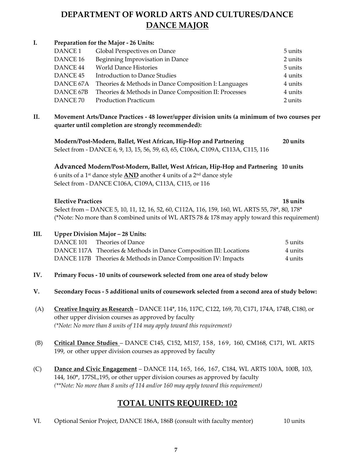## **DEPARTMENT OF WORLD ARTS AND CULTURES/DANCE DANCE MAJOR**

#### **I. Preparation for the Major - 26 Units:** DANCE 1 Global Perspectives on Dance 5 units DANCE 16 Beginning Improvisation in Dance 2 units DANCE 44 World Dance Histories 5 units DANCE 45 Introduction to Dance Studies 4 units 4 units DANCE 67A Theories & Methods in Dance Composition I: Languages 4 units DANCE 67B Theories & Methods in Dance Composition II: Processes 4 units DANCE 70 Production Practicum 2 units

**II. Movement Arts/Dance Practices - 48 lower/upper division units (a minimum of two courses per quarter until completion are strongly recommended):**

**Modern/Post-Modern, Ballet, West African, Hip-Hop and Partnering 20 units** Select from - DANCE 6, 9, 13, 15, 56, 59, 63, 65, C106A, C109A, C113A, C115, 116

**Advanced Modern/Post-Modern, Ballet, West African, Hip-Hop and Partnering 10 units** 6 units of a 1<sup>st</sup> dance style <u>AND</u> another 4 units of a 2<sup>nd</sup> dance style Select from - DANCE C106A, C109A, C113A, C115, or 116

| <b>Elective Practices</b>                                                                      | 18 units |
|------------------------------------------------------------------------------------------------|----------|
| Select from – DANCE 5, 10, 11, 12, 16, 52, 60, C112A, 116, 159, 160, WL ARTS 55, 78*, 80, 178* |          |
| (*Note: No more than 8 combined units of WL ARTS 78 & 178 may apply toward this requirement)   |          |

#### **III. Upper Division Major – 28 Units:**

| DANCE 101 Theories of Dance                                       | 5 units |
|-------------------------------------------------------------------|---------|
| DANCE 117A Theories & Methods in Dance Composition III: Locations | 4 units |
| DANCE 117B Theories & Methods in Dance Composition IV: Impacts    | 4 units |

- **IV. Primary Focus - 10 units of coursework selected from one area of study below**
- **V. Secondary Focus - 5 additional units of coursework selected from a second area of study below:**
- (A) **Creative Inquiry as Research** DANCE 114\*, 116, 117C, C122, 169, 70, C171, 174A, 174B, C180, or other upper division courses as approved by faculty *(\*Note: No more than 8 units of 114 may apply toward this requirement)*
- (B) **Critical Dance Studies** DANCE C145, C152, M157, 158, 169, 160, CM168, C171, WL ARTS 199, or other upper division courses as approved by faculty
- (C) **Dance and Civic Engagement** DANCE 114, 165, 166, 167, C184, WL ARTS 100A, 100B, 103, 144, 160\*, 177SL,195, or other upper division courses as approved by faculty *(\*\*Note: No more than 8 units of 114 and/or 160 may apply toward this requirement)*

## **TOTAL UNITS REQUIRED: 102**

VI. Optional Senior Project, DANCE 186A, 186B (consult with faculty mentor) 10 units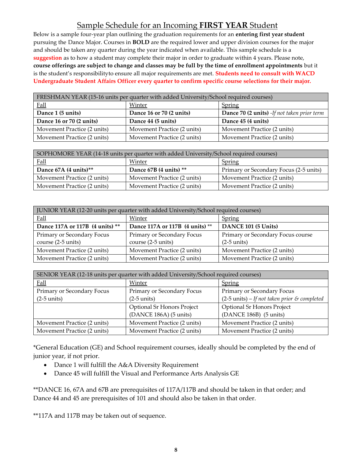## Sample Schedule for an Incoming **FIRST YEAR** Student

Below is a sample four-year plan outlining the graduation requirements for an **entering first year student**  pursuing the Dance Major. Courses in **BOLD** are the required lower and upper division courses for the major and should be taken any quarter during the year indicated when available. This sample schedule is a **suggestion** as to how a student may complete their major in order to graduate within 4 years. Please note, **course offerings are subject to change and classes may be full by the time of enrollment appointments** but it is the student's responsibilityto ensure all major requirements are met. **Students need to consult with WACD Undergraduate Student Affairs Officer every quarter to confirm specific course selections for their major.**

| FRESHMAN YEAR (15-16 units per quarter with added University/School required courses) |                             |                                                    |
|---------------------------------------------------------------------------------------|-----------------------------|----------------------------------------------------|
| <b>Fall</b>                                                                           | Winter                      | <b>Spring</b>                                      |
| Dance 1 (5 units)                                                                     | Dance 16 or 70 (2 units)    | <b>Dance 70 (2 units)</b> -If not taken prior term |
| Dance 16 or 70 (2 units)                                                              | Dance 44 (5 units)          | Dance 45 (4 units)                                 |
| Movement Practice (2 units)                                                           | Movement Practice (2 units) | Movement Practice (2 units)                        |
| Movement Practice (2 units)                                                           | Movement Practice (2 units) | Movement Practice (2 units)                        |

| SOPHOMORE YEAR (14-18 units per quarter with added University/School required courses) |                             |                                        |
|----------------------------------------------------------------------------------------|-----------------------------|----------------------------------------|
| <b>Fall</b>                                                                            | Winter                      | <b>Spring</b>                          |
| Dance 67A (4 units)**                                                                  | Dance 67B (4 units) **      | Primary or Secondary Focus (2-5 units) |
| Movement Practice (2 units)                                                            | Movement Practice (2 units) | Movement Practice (2 units)            |
| Movement Practice (2 units)                                                            | Movement Practice (2 units) | Movement Practice (2 units)            |

| JUNIOR YEAR (12-20 units per quarter with added University/School required courses) |                                 |                                   |  |
|-------------------------------------------------------------------------------------|---------------------------------|-----------------------------------|--|
| <b>Fall</b>                                                                         | Winter                          | <b>Spring</b>                     |  |
| Dance 117A or 117B (4 units) **                                                     | Dance 117A or 117B (4 units) ** | DANCE 101 (5 Units)               |  |
| Primary or Secondary Focus                                                          | Primary or Secondary Focus      | Primary or Secondary Focus course |  |
| course (2-5 units)                                                                  | course (2-5 units)              | $(2-5$ units)                     |  |
| Movement Practice (2 units)                                                         | Movement Practice (2 units)     | Movement Practice (2 units)       |  |
| Movement Practice (2 units)                                                         | Movement Practice (2 units)     | Movement Practice (2 units)       |  |

| SENIOR YEAR (12-18 units per quarter with added University/School required courses) |                             |                                                         |  |
|-------------------------------------------------------------------------------------|-----------------------------|---------------------------------------------------------|--|
| <b>Fall</b>                                                                         | Winter                      | <b>Spring</b>                                           |  |
| Primary or Secondary Focus                                                          | Primary or Secondary Focus  | Primary or Secondary Focus                              |  |
| $(2-5 \text{ units})$                                                               | $(2-5$ units)               | $(2-5 \text{ units}) - If not taken prior \& completed$ |  |
|                                                                                     | Optional Sr Honors Project  | Optional Sr Honors Project                              |  |
|                                                                                     | (DANCE 186A) (5 units)      | $(DANCE 186B)$ (5 units)                                |  |
| Movement Practice (2 units)                                                         | Movement Practice (2 units) | Movement Practice (2 units)                             |  |
| Movement Practice (2 units)                                                         | Movement Practice (2 units) | Movement Practice (2 units)                             |  |

\*General Education (GE) and School requirement courses, ideally should be completed by the end of junior year, if not prior.

- Dance 1 will fulfill the A&A Diversity Requirement
- Dance 45 will fulfill the Visual and Performance Arts Analysis GE

\*\*DANCE 16, 67A and 67B are prerequisites of 117A/117B and should be taken in that order; and Dance 44 and 45 are prerequisites of 101 and should also be taken in that order.

\*\*117A and 117B may be taken out of sequence.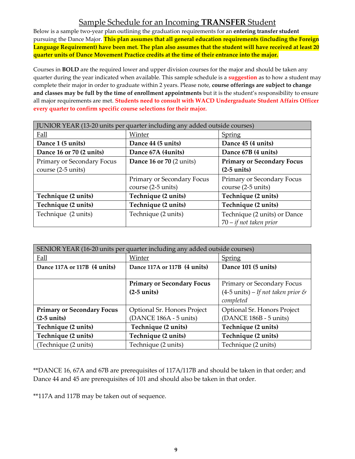## Sample Schedule for an Incoming **TRANSFER** Student

Below is a sample two-year plan outlining the graduation requirements for an **entering transfer student** pursuing the Dance Major. **This plan assumes that all general education requirements (including the Foreign Language Requirement) have been met. The plan also assumes that the student will have received at least 20 quarter units of Dance Movement Practice credits at the time of their entrance into the major.**

Courses in **BOLD** are the required lower and upper division courses for the major and should be taken any quarter during the year indicated when available. This sample schedule is a **suggestion** as to how a student may complete their major in order to graduate within 2 years. Please note, **course offerings are subject to change and classes may be full by the time of enrollment appointments** but it is the student's responsibility to ensure all major requirements are met. **Students need to consult with WACD Undergraduate Student Affairs Officer every quarter to confirm specific course selections for their major.**

| JUNIOR YEAR (13-20 units per quarter including any added outside courses) |                            |                                   |  |
|---------------------------------------------------------------------------|----------------------------|-----------------------------------|--|
| Fall                                                                      | Winter                     | <b>Spring</b>                     |  |
| Dance 1 (5 units)                                                         | Dance 44 (5 units)         | Dance 45 (4 units)                |  |
| Dance 16 or 70 (2 units)                                                  | Dance 67A (4units)         | Dance 67B (4 units)               |  |
| Primary or Secondary Focus                                                | Dance 16 or 70 (2 units)   | <b>Primary or Secondary Focus</b> |  |
| course (2-5 units)                                                        |                            | $(2-5$ units)                     |  |
|                                                                           | Primary or Secondary Focus | Primary or Secondary Focus        |  |
|                                                                           | course (2-5 units)         | course (2-5 units)                |  |
| Technique (2 units)                                                       | Technique (2 units)        | Technique (2 units)               |  |
| Technique (2 units)                                                       | Technique (2 units)        | Technique (2 units)               |  |
| Technique (2 units)                                                       | Technique (2 units)        | Technique (2 units) or Dance      |  |
|                                                                           |                            | $70 - if not taken prior$         |  |

| SENIOR YEAR (16-20 units per quarter including any added outside courses) |                                   |                                              |  |
|---------------------------------------------------------------------------|-----------------------------------|----------------------------------------------|--|
| Fall                                                                      | Winter                            | <b>Spring</b>                                |  |
| Dance 117A or 117B (4 units)                                              | Dance 117A or 117B (4 units)      | Dance 101 (5 units)                          |  |
|                                                                           |                                   |                                              |  |
|                                                                           | <b>Primary or Secondary Focus</b> | Primary or Secondary Focus                   |  |
|                                                                           | $(2-5 \text{ units})$             | $(4-5 \text{ units})$ – If not taken prior & |  |
|                                                                           |                                   | completed                                    |  |
| <b>Primary or Secondary Focus</b>                                         | Optional Sr. Honors Project       | Optional Sr. Honors Project                  |  |
| $(2-5$ units)                                                             | (DANCE 186A - 5 units)            | (DANCE 186B - 5 units)                       |  |
| Technique (2 units)                                                       | Technique (2 units)               | Technique (2 units)                          |  |
| Technique (2 units)                                                       | Technique (2 units)               | Technique (2 units)                          |  |
| (Technique (2 units)                                                      | Technique (2 units)               | Technique (2 units)                          |  |

\*\*DANCE 16, 67A and 67B are prerequisites of 117A/117B and should be taken in that order; and Dance 44 and 45 are prerequisites of 101 and should also be taken in that order.

\*\*117A and 117B may be taken out of sequence.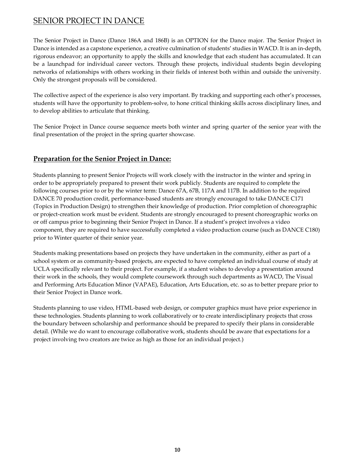#### SENIOR PROJECT IN DANCE

The Senior Project in Dance (Dance 186A and 186B) is an OPTION for the Dance major. The Senior Project in Dance is intended as a capstone experience, a creative culmination of students' studies in WACD. It is an in-depth, rigorous endeavor; an opportunity to apply the skills and knowledge that each student has accumulated. It can be a launchpad for individual career vectors. Through these projects, individual students begin developing networks of relationships with others working in their fields of interest both within and outside the university. Only the strongest proposals will be considered.

The collective aspect of the experience is also very important. By tracking and supporting each other's processes, students will have the opportunity to problem-solve, to hone critical thinking skills across disciplinary lines, and to develop abilities to articulate that thinking.

The Senior Project in Dance course sequence meets both winter and spring quarter of the senior year with the final presentation of the project in the spring quarter showcase.

#### **Preparation for the Senior Project in Dance:**

Students planning to present Senior Projects will work closely with the instructor in the winter and spring in order to be appropriately prepared to present their work publicly. Students are required to complete the following courses prior to or by the winter term: Dance 67A, 67B, 117A and 117B. In addition to the required DANCE 70 production credit, performance-based students are strongly encouraged to take DANCE C171 (Topics in Production Design) to strengthen their knowledge of production. Prior completion of choreographic or project-creation work must be evident. Students are strongly encouraged to present choreographic works on or off campus prior to beginning their Senior Project in Dance. If a student's project involves a video component, they are required to have successfully completed a video production course (such as DANCE C180) prior to Winter quarter of their senior year.

Students making presentations based on projects they have undertaken in the community, either as part of a school system or as community-based projects, are expected to have completed an individual course of study at UCLA specifically relevant to their project. For example, if a student wishes to develop a presentation around their work in the schools, they would complete coursework through such departments as WACD, The Visual and Performing Arts Education Minor (VAPAE), Education, Arts Education, etc. so as to better prepare prior to their Senior Project in Dance work.

Students planning to use video, HTML-based web design, or computer graphics must have prior experience in these technologies. Students planning to work collaboratively or to create interdisciplinary projects that cross the boundary between scholarship and performance should be prepared to specify their plans in considerable detail. (While we do want to encourage collaborative work, students should be aware that expectations for a project involving two creators are twice as high as those for an individual project.)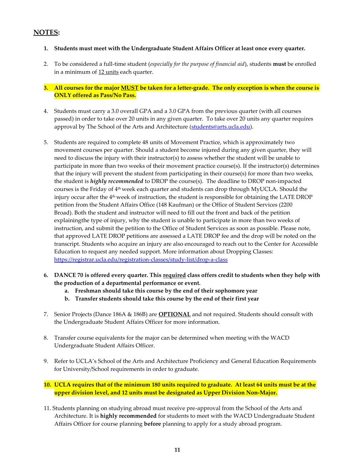#### **NOTES:**

- **1. Students must meet with the Undergraduate Student Affairs Officer at least once every quarter.**
- 2. To be considered a full-time student (*especially for the purpose of financial aid*), students **must** be enrolled in a minimum of 12 units each quarter.

**ONLY offered as Pass/No Pass.** 3. All courses for the major MUST be taken for a letter-grade. The only exception is when the course is

- 4. Students must carry a 3.0 overall GPA and a 3.0 GPA from the previous quarter (with all courses passed) in order to take over 20 units in any given quarter. To take over 20 units any quarter requires approval by The School of the Arts and Architecture [\(students@arts.ucla.edu\)](mailto:students@arts.ucla.edu).
- 5. Students are required to complete 48 units of Movement Practice, which is approximately two movement courses per quarter. Should a student become injured during any given quarter, they will need to discuss the injury with their instructor(s) to assess whether the student will be unable to participate in more than two weeks of their movement practice course(s). If the instructor(s) determines that the injury will prevent the student from participating in their course(s) for more than two weeks, the student is *highly recommended* to DROP the course(s). The deadline to DROP non-impacted courses is the Friday of  $4<sup>th</sup>$  week each quarter and students can drop through MyUCLA. Should the injury occur after the  $4<sup>th</sup>$  week of instruction, the student is responsible for obtaining the LATE DROP petition from the Student Affairs Office (148 Kaufman) or the Office of Student Services (2200 Broad). Both the student and instructor will need to fill out the front and back of the petition explainingthe type of injury, why the student is unable to participate in more than two weeks of instruction, and submit the petition to the Office of Student Services as soon as possible. Please note, that approved LATE DROP petitions are assessed a LATE DROP fee and the drop will be noted on the transcript. Students who acquire an injury are also encouraged to reach out to the Center for Accessible Education to request any needed support. More information about Dropping Classes: <https://registrar.ucla.edu/registration-classes/study-list/drop-a-class>
- **6. DANCE 70 is offered every quarter. This required class offers credit to students when they help with the production of a departmental performance or event.**
	- **a. Freshman should take this course by the end of their sophomore year**
	- **b. Transfer students should take this course by the end of their first year**
- 7. Senior Projects (Dance 186A & 186B) are **OPTIONAL** and not required. Students should consult with the Undergraduate Student Affairs Officer for more information.
- 8. Transfer course equivalents for the major can be determined when meeting with the WACD Undergraduate Student Affairs Officer.
- 9. Refer to UCLA's School of the Arts and Architecture Proficiency and General Education Requirements for University/School requirements in order to graduate.
- **upper division level, and 12 units must be designated as Upper Division Non-Major.** 10. UCLA requires that of the minimum 180 units required to graduate. At least 64 units must be at the
- 11. Students planning on studying abroad must receive pre-approval from the School of the Arts and Architecture. It is **highly recommended** for students to meet with the WACD Undergraduate Student Affairs Officer for course planning **before** planning to apply for a study abroad program.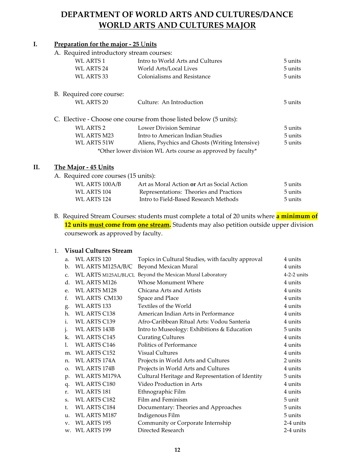## **DEPARTMENT OF WORLD ARTS AND CULTURES/DANCE WORLD ARTS AND CULTURES MAJOR**

#### **I. Preparation for the major - 25** U**nits**

#### A. Required introductory stream courses:

| WL ARTS 1                | Intro to World Arts and Cultures                                   | 5 units |
|--------------------------|--------------------------------------------------------------------|---------|
| WL ARTS 24               | World Arts/Local Lives                                             | 5 units |
| WL ARTS 33               | Colonialisms and Resistance                                        | 5 units |
| B. Required core course: |                                                                    |         |
| WL ARTS 20               | Culture: An Introduction                                           | 5 units |
|                          | C. Elective - Choose one course from those listed below (5 units): |         |
| WL ARTS 2                | <b>Lower Division Seminar</b>                                      | 5 units |
| WL ARTS M23              | Intro to American Indian Studies                                   | 5 units |
| <b>WL ARTS 51W</b>       | Aliens, Psychics and Ghosts (Writing Intensive)                    | 5 units |
|                          | *Other lower division WL Arts course as approved by faculty*       |         |
|                          |                                                                    |         |

#### **II. The Major - 45 Units**

A. Required core courses (15 units):

| WL ARTS 100A/B | Art as Moral Action or Art as Social Action | 5 units |
|----------------|---------------------------------------------|---------|
| WL ARTS 104    | Representations: Theories and Practices     | 5 units |
| WL ARTS 124    | Intro to Field-Based Research Methods       | 5 units |
|                |                                             |         |

B. Required Stream Courses: students must complete a total of 20 units where **a minimum of** 12 units **must come from one stream.** Students may also petition outside upper division coursework as approved by faculty.

#### 1. **Visual Cultures Stream**

| a.             | WL ARTS 120                 | Topics in Cultural Studies, with faculty approval | 4 units       |
|----------------|-----------------------------|---------------------------------------------------|---------------|
| $\mathbf{b}$ . | WL ARTS M125A/B/C           | Beyond Mexican Mural                              | 4 units       |
| $C_{\cdot}$    | <b>WL ARTS M125AL/BL/CL</b> | Beyond the Mexican Mural Laboratory               | $4-2-2$ units |
| $d_{\cdot}$    | <b>WL ARTS M126</b>         | Whose Monument Where                              | 4 units       |
| e.             | <b>WL ARTS M128</b>         | Chicana Arts and Artists                          | 4 units       |
| f.             | <b>WL ARTS CM130</b>        | Space and Place                                   | 4 units       |
| g.             | WL ARTS 133                 | Textiles of the World                             | 4 units       |
| h.             | <b>WL ARTS C138</b>         | American Indian Arts in Performance               | 4 units       |
| i.             | <b>WL ARTS C139</b>         | Afro-Caribbean Ritual Arts: Vodou Santeria        | 4 units       |
| $\cdot$        | WL ARTS 143B                | Intro to Museology: Exhibitions & Education       | 5 units       |
| k.             | <b>WL ARTS C145</b>         | <b>Curating Cultures</b>                          | 4 units       |
| 1.             | <b>WL ARTS C146</b>         | Politics of Performance                           | 4 units       |
| m.             | WL ARTS C152                | <b>Visual Cultures</b>                            | 4 units       |
| n.             | WL ARTS 174A                | Projects in World Arts and Cultures               | 2 units       |
| O.             | <b>WL ARTS 174B</b>         | Projects in World Arts and Cultures               | 4 units       |
| p.             | <b>WL ARTS M179A</b>        | Cultural Heritage and Representation of Identity  | 5 units       |
| q.             | <b>WL ARTS C180</b>         | Video Production in Arts                          | 4 units       |
| r.             | <b>WL ARTS 181</b>          | Ethnographic Film                                 | 4 units       |
| S.             | <b>WL ARTS C182</b>         | Film and Feminism                                 | 5 unit        |
| t.             | <b>WL ARTS C184</b>         | Documentary: Theories and Approaches              | 5 units       |
| u.             | WL ARTS M187                | Indigenous Film                                   | 5 units       |
| $V_{\cdot}$    | <b>WL ARTS 195</b>          | Community or Corporate Internship                 | 2-4 units     |
|                | w. WL ARTS 199              | Directed Research                                 | 2-4 units     |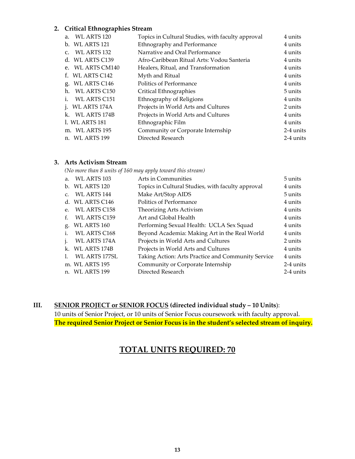#### **2. Critical Ethnographies Stream**

| WL ARTS 120<br>a.              | Topics in Cultural Studies, with faculty approval | 4 units   |
|--------------------------------|---------------------------------------------------|-----------|
| b. WL ARTS 121                 | Ethnography and Performance                       | 4 units   |
| c. WL ARTS 132                 | Narrative and Oral Performance                    | 4 units   |
| d. WL ARTS C139                | Afro-Caribbean Ritual Arts: Vodou Santeria        | 4 units   |
| e. WL ARTS CM140               | Healers, Ritual, and Transformation               | 4 units   |
| f. WL ARTS C142                | Myth and Ritual                                   | 4 units   |
| g. WL ARTS C146                | Politics of Performance                           | 4 units   |
| h. WL ARTS C150                | Critical Ethnographies                            | 5 units   |
| WL ARTS C151<br>1 <sub>1</sub> | Ethnography of Religions                          | 4 units   |
| i. WL ARTS 174A                | Projects in World Arts and Cultures               | 2 units   |
| k. WL ARTS 174B                | Projects in World Arts and Cultures               | 4 units   |
| 1. WL ARTS 181                 | Ethnographic Film                                 | 4 units   |
| m. WL ARTS 195                 | Community or Corporate Internship                 | 2-4 units |
| n. WL ARTS 199                 | Directed Research                                 | 2-4 units |

#### **3. Arts Activism Stream**

*(No more than 8 units of 160 may apply toward this stream)*

| a.              | WL ARTS 103          | Arts in Communities                                | 5 units   |
|-----------------|----------------------|----------------------------------------------------|-----------|
|                 | b. WL ARTS 120       | Topics in Cultural Studies, with faculty approval  | 4 units   |
| $\mathcal{C}$ . | <b>WL ARTS 144</b>   | Make Art/Stop AIDS                                 | 5 units   |
|                 | d. WL ARTS C146      | Politics of Performance                            | 4 units   |
| $e_{i}$         | <b>WL ARTS C158</b>  | Theorizing Arts Activism                           | 4 units   |
| $f_{\cdot}$     | <b>WL ARTS C159</b>  | Art and Global Health                              | 4 units   |
| g.              | WL ARTS 160          | Performing Sexual Health: UCLA Sex Squad           | 4 units   |
| i.              | <b>WL ARTS C168</b>  | Beyond Academia: Making Art in the Real World      | 4 units   |
|                 | <b>WL ARTS 174A</b>  | Projects in World Arts and Cultures                | 2 units   |
|                 | k. WL ARTS 174B      | Projects in World Arts and Cultures                | 4 units   |
|                 | <b>WL ARTS 177SL</b> | Taking Action: Arts Practice and Community Service | 4 units   |
|                 | m. WL ARTS 195       | Community or Corporate Internship                  | 2-4 units |
| n.              | WL ARTS 199          | Directed Research                                  | 2-4 units |
|                 |                      |                                                    |           |

#### **III. SENIOR PROJECT or SENIOR FOCUS (directed individual study – 10 Units**):

10 units of Senior Project, or 10 units of Senior Focus coursework with faculty approval. **The required Senior Project or Senior Focus is in the student's selected stream of inquiry.**

#### **TOTAL UNITS REQUIRED: 70**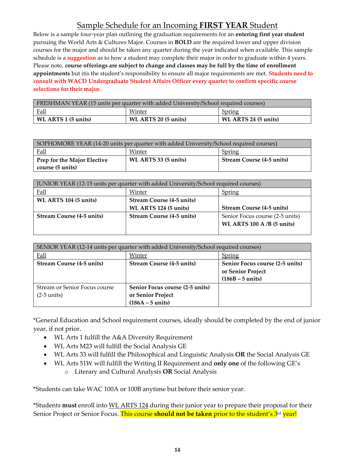## Sample Schedule for an Incoming **FIRST YEAR** Student

Below is a sample four-year plan outlining the graduation requirements for an **entering first year student**  pursuing the World Arts & Cultures Major. Courses in **BOLD** are the required lower and upper division courses for the major and should be taken any quarter during the year indicated when available. This sample schedule is a **suggestion** as to how a student may complete their major in order to graduate within 4 years. Please note, **course offerings are subject to change and classes may be full by the time of enrollment appointments** but itis the student's responsibility to ensure all major requirements are met. **Students need to consult with WACD Undergraduate Student Affairs Officer every quarter to confirm specific course selections for their major.**

| <b>FRESHMAN YEAR (15 units per quarter with added University/School required courses)</b> |                      |                      |  |
|-------------------------------------------------------------------------------------------|----------------------|----------------------|--|
| <u>Fall</u><br>Winter<br>Spring                                                           |                      |                      |  |
| $\vert$ WL ARTS 1 (5 units)                                                               | WL ARTS 20 (5 units) | WL ARTS 24 (5 units) |  |

| SOPHOMORE YEAR (14-20 units per quarter with added University/School required courses) |                      |                                  |  |
|----------------------------------------------------------------------------------------|----------------------|----------------------------------|--|
| Fall<br>Winter<br>Spring                                                               |                      |                                  |  |
| <b>Prep for the Major Elective</b><br>course (5 units)                                 | WL ARTS 33 (5 units) | <b>Stream Course (4-5 units)</b> |  |

| JUNIOR YEAR (12-15 units per quarter with added University/School required courses) |                                  |                                  |  |
|-------------------------------------------------------------------------------------|----------------------------------|----------------------------------|--|
| <b>Fall</b>                                                                         | Winter                           | Spring                           |  |
| WL ARTS 104 (5 units)                                                               | <b>Stream Course (4-5 units)</b> |                                  |  |
|                                                                                     |                                  |                                  |  |
|                                                                                     | WL ARTS 124 (5 units)            | <b>Stream Course (4-5 units)</b> |  |
| <b>Stream Course (4-5 units)</b>                                                    | <b>Stream Course (4-5 units)</b> | Senior Focus course (2-5 units)  |  |
|                                                                                     |                                  | WL ARTS $100$ A/B (5 units)      |  |

| SENIOR YEAR (12-14 units per quarter with added University/School required courses) |                                  |                                 |  |
|-------------------------------------------------------------------------------------|----------------------------------|---------------------------------|--|
| <b>Fall</b>                                                                         | Winter                           | Spring                          |  |
| <b>Stream Course (4-5 units)</b>                                                    | <b>Stream Course (4-5 units)</b> | Senior Focus course (2-5 units) |  |
|                                                                                     |                                  | or Senior Project               |  |
|                                                                                     |                                  | $(186B - 5 \text{ units})$      |  |
| Stream or Senior Focus course                                                       | Senior Focus course (2-5 units)  |                                 |  |
| $(2-5 \text{ units})$                                                               | or Senior Project                |                                 |  |
|                                                                                     | $(186A - 5$ units)               |                                 |  |

\*General Education and School requirement courses, ideally should be completed by the end of junior year, if not prior.

- WL Arts 1 fulfill the A&A Diversity Requirement
- WL Arts M23 will fulfill the Social Analysis GE
- WL Arts 33 will fulfill the Philosophical and Linguistic Analysis **OR** the Social Analysis GE
- WL Arts 51W will fulfill the Writing II Requirement and **only one** of the following GE's o Literary and Cultural Analysis **OR** Social Analysis

\*Students can take WAC 100A or 100B anytime but before their senior year.

\*Students **must** enroll into WL ARTS 124 during their junior year to prepare their proposal for their Senior Project or Senior Focus. This course **should not be taken** prior to the student's 3 rd year!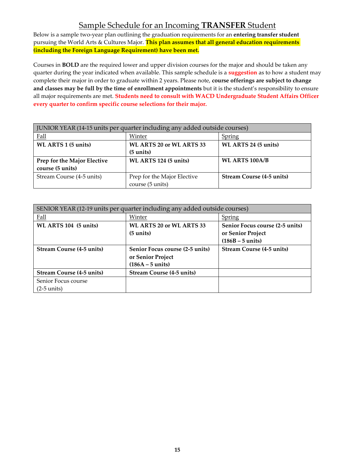## Sample Schedule for an Incoming **TRANSFER** Student

Below is a sample two-year plan outlining the graduation requirements for an **entering transfer student** pursuing the World Arts & Cultures Major. **This plan assumes that all general education requirements (including the Foreign Language Requirement) have been met.**

Courses in **BOLD** are the required lower and upper division courses for the major and should be taken any quarter during the year indicated when available. This sample schedule is a **suggestion** as to how a student may complete their major in order to graduate within 2 years. Please note, **course offerings are subject to change and classes may be full by the time of enrollment appointments** but it is the student's responsibility to ensure all major requirements are met. **Students need to consult with WACD Undergraduate Student Affairs Officer every quarter to confirm specific course selections for their major.**

| JUNIOR YEAR (14-15 units per quarter including any added outside courses) |                                 |                                  |  |
|---------------------------------------------------------------------------|---------------------------------|----------------------------------|--|
| <b>Fall</b>                                                               | Winter                          | Spring                           |  |
| WL ARTS 1 (5 units)                                                       | <b>WL ARTS 20 or WL ARTS 33</b> | WL ARTS 24 (5 units)             |  |
|                                                                           | $(5 \text{ units})$             |                                  |  |
| Prep for the Major Elective                                               | WL ARTS 124 (5 units)           | <b>WL ARTS 100A/B</b>            |  |
| course (5 units)                                                          |                                 |                                  |  |
| Stream Course (4-5 units)                                                 | Prep for the Major Elective     | <b>Stream Course (4-5 units)</b> |  |
|                                                                           | course (5 units)                |                                  |  |

| SENIOR YEAR (12-19 units per quarter including any added outside courses) |                                  |                                  |
|---------------------------------------------------------------------------|----------------------------------|----------------------------------|
| Fall                                                                      | Winter                           | <b>Spring</b>                    |
| WL ARTS 104 (5 units)                                                     | WL ARTS 20 or WL ARTS 33         | Senior Focus course (2-5 units)  |
|                                                                           | $(5 \text{ units})$              | or Senior Project                |
|                                                                           |                                  | $(186B - 5 \text{ units})$       |
| <b>Stream Course (4-5 units)</b>                                          | Senior Focus course (2-5 units)  | <b>Stream Course (4-5 units)</b> |
|                                                                           | or Senior Project                |                                  |
|                                                                           | $(186A - 5$ units)               |                                  |
| <b>Stream Course (4-5 units)</b>                                          | <b>Stream Course (4-5 units)</b> |                                  |
| Senior Focus course                                                       |                                  |                                  |
| $(2-5 \text{ units})$                                                     |                                  |                                  |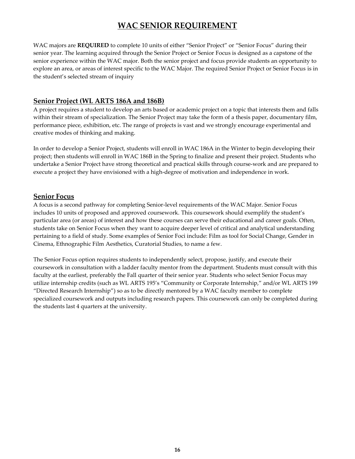## **WAC SENIOR REQUIREMENT**

WAC majors are **REQUIRED** to complete 10 units of either "Senior Project" or "Senior Focus" during their senior year. The learning acquired through the Senior Project or Senior Focus is designed as a capstone of the senior experience within the WAC major. Both the senior project and focus provide students an opportunity to explore an area, or areas of interest specific to the WAC Major. The required Senior Project or Senior Focus is in the student's selected stream of inquiry

#### **Senior Project (WL ARTS 186A and 186B)**

A project requires a student to develop an arts based or academic project on a topic that interests them and falls within their stream of specialization. The Senior Project may take the form of a thesis paper, documentary film, performance piece, exhibition, etc. The range of projects is vast and we strongly encourage experimental and creative modes of thinking and making.

In order to develop a Senior Project, students will enroll in WAC 186A in the Winter to begin developing their project; then students will enroll in WAC 186B in the Spring to finalize and present their project. Students who undertake a Senior Project have strong theoretical and practical skills through course-work and are prepared to execute a project they have envisioned with a high-degree of motivation and independence in work.

#### **Senior Focus**

A focus is a second pathway for completing Senior-level requirements of the WAC Major. Senior Focus includes 10 units of proposed and approved coursework. This coursework should exemplify the student's particular area (or areas) of interest and how these courses can serve their educational and career goals. Often, students take on Senior Focus when they want to acquire deeper level of critical and analytical understanding pertaining to a field of study. Some examples of Senior Foci include: Film as tool for Social Change, Gender in Cinema, Ethnographic Film Aesthetics, Curatorial Studies, to name a few.

The Senior Focus option requires students to independently select, propose, justify, and execute their coursework in consultation with a ladder faculty mentor from the department. Students must consult with this faculty at the earliest, preferably the Fall quarter of their senior year. Students who select Senior Focus may utilize internship credits (such as WL ARTS 195's "Community or Corporate Internship," and/or WL ARTS 199 "Directed Research Internship") so as to be directly mentored by a WAC faculty member to complete specialized coursework and outputs including research papers. This coursework can only be completed during the students last 4 quarters at the university.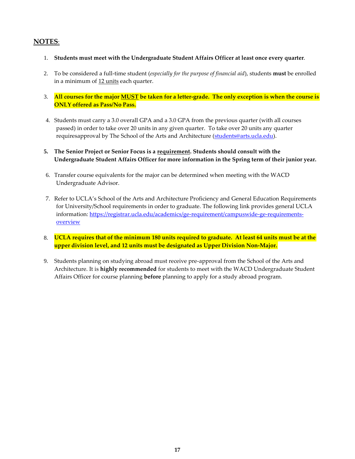#### **NOTES**:

- 1. **Students must meet with the Undergraduate Student Affairs Officer at least once every quarter**.
- 2. To be considered a full-time student (*especially for the purpose of financial aid*), students **must** be enrolled in a minimum of 12 units each quarter.
- 3. <mark>All courses for the major <u>MUST</u> be taken for a letter-grade. The only exception is when the course is</mark> **ONLY offered as Pass/No Pass.**
- 4. Students must carry a 3.0 overall GPA and a 3.0 GPA from the previous quarter (with all courses passed) in order to take over 20 units in any given quarter. To take over 20 units any quarter requiresapproval by The School of the Arts and Architecture [\(students@arts.ucla.edu\)](mailto:students@arts.ucla.edu).
- **5. The Senior Project or Senior Focus is a requirement. Students should consult with the Undergraduate Student Affairs Officer for more information in the Spring term of their junior year.**
- 6. Transfer course equivalents for the major can be determined when meeting with the WACD Undergraduate Advisor.
- 7. Refer to UCLA's School of the Arts and Architecture Proficiency and General Education Requirements for University/School requirements in order to graduate. The following link provides general UCLA information: [https://registrar.ucla.edu/academics/ge-requirement/campuswide-ge-requirements](https://registrar.ucla.edu/academics/ge-requirement/campuswide-ge-requirements-overview)[overview](https://registrar.ucla.edu/academics/ge-requirement/campuswide-ge-requirements-overview)
- 8. **UCLA requires that of the minimum 180 units required to graduate. At least 64 units must be at the upper division level, and 12 units must be designated as Upper Division Non-Major.**
- 9. Students planning on studying abroad must receive pre-approval from the School of the Arts and Architecture. It is **highly recommended** for students to meet with the WACD Undergraduate Student Affairs Officer for course planning **before** planning to apply for a study abroad program.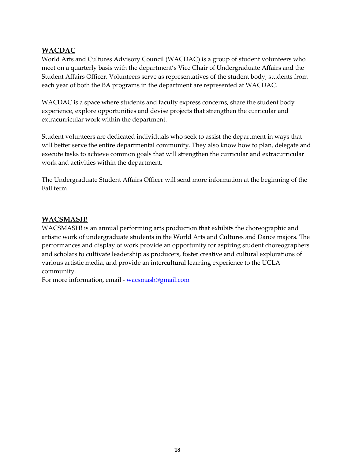#### **WACDAC**

World Arts and Cultures Advisory Council (WACDAC) is a group of student volunteers who meet on a quarterly basis with the department's Vice Chair of Undergraduate Affairs and the Student Affairs Officer. Volunteers serve as representatives of the student body, students from each year of both the BA programs in the department are represented at WACDAC.

WACDAC is a space where students and faculty express concerns, share the student body experience, explore opportunities and devise projects that strengthen the curricular and extracurricular work within the department.

Student volunteers are dedicated individuals who seek to assist the department in ways that will better serve the entire departmental community. They also know how to plan, delegate and execute tasks to achieve common goals that will strengthen the curricular and extracurricular work and activities within the department.

The Undergraduate Student Affairs Officer will send more information at the beginning of the Fall term.

#### **WACSMASH!**

WACSMASH! is an annual performing arts production that exhibits the choreographic and artistic work of undergraduate students in the World Arts and Cultures and Dance majors. The performances and display of work provide an opportunity for aspiring student choreographers and scholars to cultivate leadership as producers, foster creative and cultural explorations of various artistic media, and provide an intercultural learning experience to the UCLA community.

For more information, email - [wacsmash@gmail.com](mailto:wacsmash@gmail.com)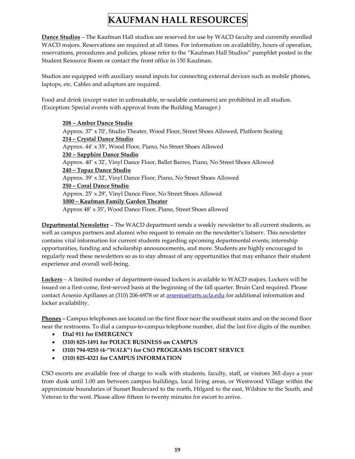## **KAUFMAN HALL RESOURCES**

**Dance Studios** – The Kaufman Hall studios are reserved for use by WACD faculty and currently enrolled WACD majors. Reservations are required at all times. For information on availability, hours of operation, reservations, procedures and policies, please refer to the "Kaufman Hall Studios" pamphlet posted in the Student Resource Room or contact the front office in 150 Kaufman.

Studios are equipped with auxiliary sound inputs for connecting external devices such as mobile phones, laptops, etc. Cables and adaptors are required.

Food and drink (except water in unbreakable, re-sealable containers) are prohibited in all studios. (Exception: Special events with approval from the Building Manager.)

**208 – Amber Dance Studio** Approx. 37' x 70', Studio Theater, Wood Floor, Street Shoes Allowed, Platform Seating **214 – Crystal Dance Studio** Approx. 44' x 35', Wood Floor, Piano, No Street Shoes Allowed **230 – Sapphire Dance Studio** Approx. 40' x 32', Vinyl Dance Floor, Ballet Barres, Piano, No Street Shoes Allowed **240 – Topaz Dance Studio** Approx. 39' x 32', Vinyl Dance Floor, Piano, No Street Shoes Allowed **250 – Coral Dance Studio** Approx. 25' x 29', Vinyl Dance Floor, No Street Shoes Allowed **1000 – Kaufman Family Garden Theater** Approx 48' x 35', Wood Dance Floor, Piano, Street Shoes allowed

**Departmental Newsletter** – The WACD department sends a weekly newsletter to all current students, as well as campus partners and alumni who request to remain on the newsletter's listserv. This newsletter contains vital information for current students regarding upcoming departmental events, internship opportunities, funding and scholarship announcements, and more. Students are highly encouraged to regularly read these newsletters so as to stay abreast of any opportunities that may enhance their student experience and overall well-being.

**Lockers** – A limited number of department-issued lockers is available to WACD majors. Lockers will be issued on a first-come, first-served basis at the beginning of the fall quarter. Bruin Card required. Please contact Arsenio Apillanes at (310) 206-6978 or at **arsenioa@arts.ucla.edu** for additional information and locker availability.

**Phones –** Campus telephones are located on the first floor near the southeast stairs and on the second floor near the restrooms. To dial a campus-to-campus telephone number, dial the last five digits of the number.

- **Dial 911 for EMERGENCY**
- **(310) 825-1491 for POLICE BUSINESS on CAMPUS**
- **(310) 794-9255 (4-"***WALK***") for CSO PROGRAMS ESCORT SERVICE**
- **(310) 825-4321 for CAMPUS INFORMATION**

CSO escorts are available free of charge to walk with students, faculty, staff, or visitors 365 days a year from dusk until 1:00 am between campus buildings, local living areas, or Westwood Village within the approximate boundaries of Sunset Boulevard to the north, Hilgard to the east, Wilshire to the South, and Veteran to the west. Please allow fifteen to twenty minutes for escort to arrive.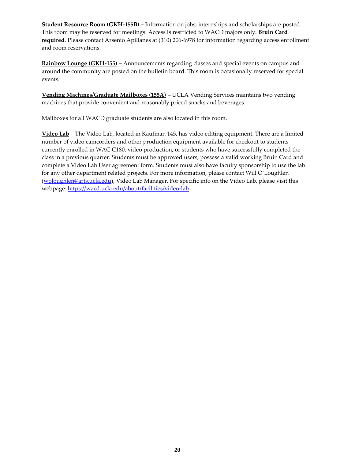**Student Resource Room (GKH-155B) –** Information on jobs, internships and scholarships are posted. This room may be reserved for meetings. Access is restricted to WACD majors only. **Bruin Card required**. Please contact Arsenio Apillanes at (310) 206-6978 for information regarding access enrollment and room reservations.

**Rainbow Lounge (GKH-155) –** Announcements regarding classes and special events on campus and around the community are posted on the bulletin board. This room is occasionally reserved for special events.

**Vending Machines/Graduate Mailboxes (155A)** – UCLA Vending Services maintains two vending machines that provide convenient and reasonably priced snacks and beverages.

Mailboxes for all WACD graduate students are also located in this room.

**Video Lab** – The Video Lab, located in Kaufman 145, has video editing equipment. There are a limited number of video camcorders and other production equipment available for checkout to students currently enrolled in WAC C180, video production, or students who have successfully completed the class in a previous quarter. Students must be approved users, possess a valid working Bruin Card and complete a Video Lab User agreement form. Students must also have faculty sponsorship to use the lab for any other department related projects. For more information, please contact Will O'Loughlen [\(woloughlen@arts.ucla.edu\)](mailto:woloughlen@arts.ucla.edu), Video Lab Manager. For specific info on the Video Lab, please visit this webpage: <https://wacd.ucla.edu/about/facilities/video-lab>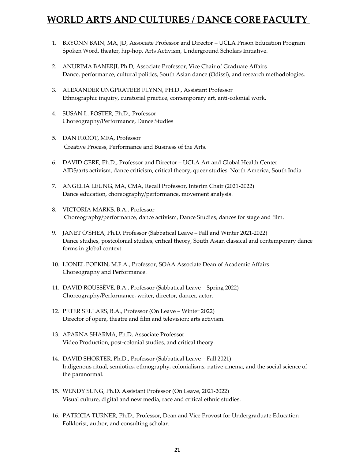## **WORLD ARTS AND CULTURES / DANCE CORE FACULTY**

- 1. BRYONN BAIN, MA, JD, Associate Professor and Director UCLA Prison Education Program Spoken Word, theater, hip-hop, Arts Activism, Underground Scholars Initiative.
- 2. ANURIMA BANERJI, Ph.D, Associate Professor, Vice Chair of Graduate Affairs Dance, performance, cultural politics, South Asian dance (Odissi), and research methodologies.
- 3. ALEXANDER UNGPRATEEB FLYNN, PH.D., Assistant Professor Ethnographic inquiry, curatorial practice, contemporary art, anti-colonial work.
- 4. SUSAN L. FOSTER, Ph.D., Professor Choreography/Performance, Dance Studies
- 5. DAN FROOT, MFA, Professor Creative Process, Performance and Business of the Arts.
- 6. DAVID GERE, Ph.D., Professor and Director UCLA Art and Global Health Center AIDS/arts activism, dance criticism, critical theory, queer studies. North America, South India
- 7. ANGELIA LEUNG, MA, CMA, Recall Professor, Interim Chair (2021-2022) Dance education, choreography/performance, movement analysis.
- 8. VICTORIA MARKS, B.A., Professor Choreography/performance, dance activism, Dance Studies, dances for stage and film.
- 9. JANET O'SHEA, Ph.D, Professor (Sabbatical Leave Fall and Winter 2021-2022) Dance studies, postcolonial studies, critical theory, South Asian classical and contemporary dance forms in global context.
- 10. LIONEL POPKIN, M.F.A., Professor, SOAA Associate Dean of Academic Affairs Choreography and Performance.
- 11. DAVID ROUSSÈVE, B.A., Professor (Sabbatical Leave Spring 2022) Choreography/Performance, writer, director, dancer, actor.
- 12. PETER SELLARS, B.A., Professor (On Leave Winter 2022) Director of opera, theatre and film and television; arts activism.
- 13. APARNA SHARMA, Ph.D, Associate Professor Video Production, post-colonial studies, and critical theory.
- 14. DAVID SHORTER, Ph.D., Professor (Sabbatical Leave Fall 2021) Indigenous ritual, semiotics, ethnography, colonialisms, native cinema, and the social science of the paranormal.
- 15. WENDY SUNG, Ph.D. Assistant Professor (On Leave, 2021-2022) Visual culture, digital and new media, race and critical ethnic studies.
- 16. PATRICIA TURNER, Ph.D., Professor, Dean and Vice Provost for Undergraduate Education Folklorist, author, and consulting scholar.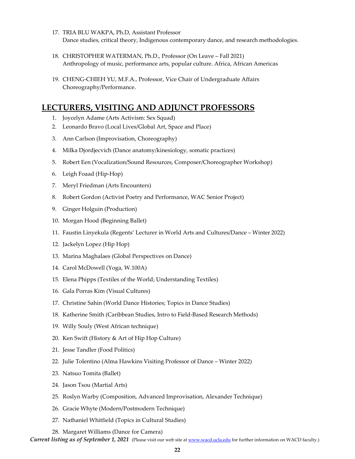- 17. TRIA BLU WAKPA, Ph.D, Assistant Professor Dance studies, critical theory, Indigenous contemporary dance, and research methodologies.
- 18. CHRISTOPHER WATERMAN, Ph.D., Professor (On Leave Fall 2021) Anthropology of music, performance arts, popular culture. Africa, African Americas
- 19. CHENG-CHIEH YU, M.F.A., Professor, Vice Chair of Undergraduate Affairs Choreography/Performance.

#### **LECTURERS, VISITING AND ADJUNCT PROFESSORS**

- 1. Joycelyn Adame (Arts Activism: Sex Squad)
- 2. Leonardo Bravo (Local Lives/Global Art, Space and Place)
- 3. Ann Carlson (Improvisation, Choreography)
- 4. Milka Djordjecvich (Dance anatomy/kinesiology, somatic practices)
- 5. Robert Een (Vocalization/Sound Resources, Composer/Choreographer Workshop)
- 6. Leigh Foaad (Hip-Hop)
- 7. Meryl Friedman (Arts Encounters)
- 8. Robert Gordon (Activist Poetry and Performance, WAC Senior Project)
- 9. Ginger Holguin (Production)
- 10. Morgan Hood (Beginning Ballet)
- 11. Faustin Linyekula (Regents' Lecturer in World Arts and Cultures/Dance Winter 2022)
- 12. Jackelyn Lopez (Hip Hop)
- 13. Marina Maghalaes (Global Perspectives on Dance)
- 14. Carol McDowell (Yoga, W.100A)
- 15. Elena Phipps (Textiles of the World; Understanding Textiles)
- 16. Gala Porras Kim (Visual Cultures)
- 17. Christine Sahin (World Dance Histories; Topics in Dance Studies)
- 18. Katherine Smith (Caribbean Studies, Intro to Field-Based Research Methods)
- 19. Willy Souly (West African technique)
- 20. Ken Swift (History & Art of Hip Hop Culture)
- 21. Jesse Tandler (Food Politics)
- 22. Julie Tolentino (Alma Hawkins Visiting Professor of Dance Winter 2022)
- 23. Natsuo Tomita (Ballet)
- 24. Jason Tsou (Martial Arts)
- 25. Roslyn Warby (Composition, Advanced Improvisation, Alexander Technique)
- 26. Gracie Whyte (Modern/Postmodern Technique)
- 27. Nathaniel Whitfield (Topics in Cultural Studies)
- 28. Margaret Williams (Dance for Camera)

*Current listing as of September 1, 2021* (Please visit our web site at [www.wacd.ucla.edu](http://www.wacd.ucla.edu/) for further information on WACD faculty.)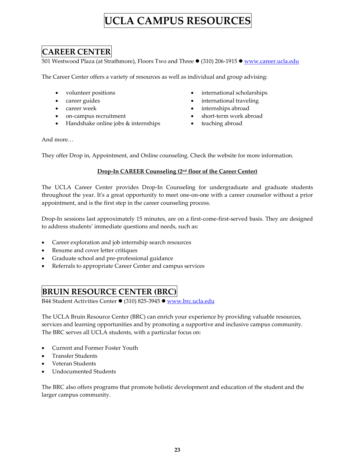# **UCLA CAMPUS RESOURCES**

## **CAREER CENTER**

501 Westwood Plaza (at Strathmore), Floors Two and Three ● (310) 206-1915 ● [www.career.ucla.edu](http://www.career.ucla.edu/)

The Career Center offers a variety of resources as well as individual and group advising:

- volunteer positions
- career guides
- career week
- on-campus recruitment
- Handshake online jobs & internships
- international scholarships
- international traveling
- internships abroad
- short-term work abroad
- teaching abroad

And more…

They offer Drop in, Appointment, and Online counseling. Check the website for more information.

#### **Drop-In CAREER Counseling (2nd floor of the Career Center)**

The UCLA Career Center provides Drop-In Counseling for undergraduate and graduate students throughout the year. It's a great opportunity to meet one-on-one with a career counselor without a prior appointment, and is the first step in the career counseling process.

Drop-In sessions last approximately 15 minutes, are on a first-come-first-served basis. They are designed to address students' immediate questions and needs, such as:

- Career exploration and job internship search resources
- Resume and cover letter critiques
- Graduate school and pre-professional guidance
- Referrals to appropriate Career Center and campus services

#### **BRUIN RESOURCE CENTER (BRC)**

B44 Student Activities Center ⚫ (310) 825-3945 ⚫ [www.brc.ucla.edu](http://www.brc.ucla.edu/)

The UCLA Bruin Resource Center (BRC) can enrich your experience by providing valuable resources, services and learning opportunities and by promoting a supportive and inclusive campus community. The BRC serves all UCLA students, with a particular focus on:

- Current and Former Foster Youth
- Transfer Students
- Veteran Students
- Undocumented Students

The BRC also offers programs that promote holistic development and education of the student and the larger campus community.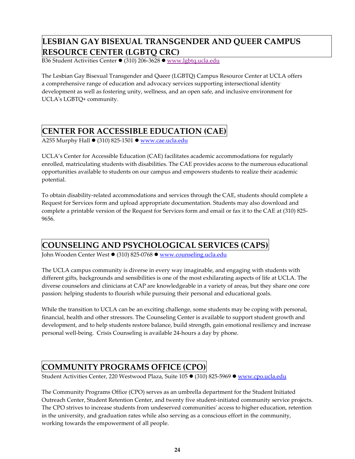## **LESBIAN GAY BISEXUAL TRANSGENDER AND QUEER CAMPUS RESOURCE CENTER (LGBTQ CRC)**

B36 Student Activities Center ⚫ (310) 206-3628 ⚫ [www.lgbtq.ucla.edu](http://www.lgbtq.ucla.edu/)

The Lesbian Gay Bisexual Transgender and Queer (LGBTQ) Campus Resource Center at UCLA offers a comprehensive range of education and advocacy services supporting intersectional identity development as well as fostering unity, wellness, and an open safe, and inclusive environment for UCLA's LGBTQ+ community.

## **CENTER FOR ACCESSIBLE EDUCATION (CAE)**

A255 Murphy Hall ● (310) 825-1501 ● [www.cae.ucla.edu](http://www.cae.ucla.edu/)

UCLA's Center for Accessible Education (CAE) facilitates academic accommodations for regularly enrolled, matriculating students with disabilities. The CAE provides access to the numerous educational opportunities available to students on our campus and empowers students to realize their academic potential.

To obtain disability-related accommodations and services through the CAE, students should complete a Request for Services form and upload appropriate documentation. Students may also download and complete a printable version of the Request for Services form and email or fax it to the CAE at (310) 825- 9656.

## **COUNSELING AND PSYCHOLOGICAL SERVICES (CAPS)**

John Wooden Center West ● (310) 825-0768 ● [www.counseling.ucla.edu](http://www.counseling.ucla.edu/)

The UCLA campus community is diverse in every way imaginable, and engaging with students with different gifts, backgrounds and sensibilities is one of the most exhilarating aspects of life at UCLA. The diverse counselors and clinicians at CAP are knowledgeable in a variety of areas, but they share one core passion: helping students to flourish while pursuing their personal and educational goals.

While the transition to UCLA can be an exciting challenge, some students may be coping with personal, financial, health and other stressors. The Counseling Center is available to support student growth and development, and to help students restore balance, build strength, gain emotional resiliency and increase personal well-being. Crisis Counseling is available 24-hours a day by phone.

## **COMMUNITY PROGRAMS OFFICE (CPO)**

Student Activities Center, 220 Westwood Plaza, Suite 105 ⚫ (310) 825-5969 ⚫ [www.cpo.ucla.edu](http://www.cpo.ucla.edu/)

The Community Programs Office (CPO) serves as an umbrella department for the Student Initiated Outreach Center, Student Retention Center, and twenty five student-initiated community service projects. The CPO strives to increase students from undeserved communities' access to higher education, retention in the university, and graduation rates while also serving as a conscious effort in the community, working towards the empowerment of all people.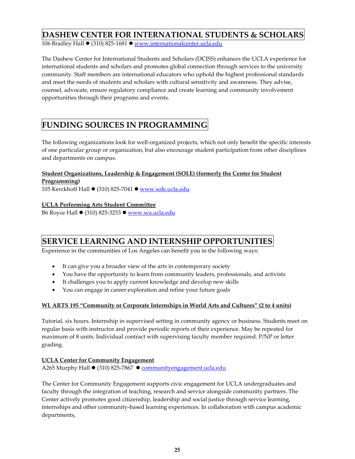## **DASHEW CENTER FOR INTERNATIONAL STUDENTS & SCHOLARS**

106 Bradley Hall ● (310) 825-1681 ● [www.internationalcenter.ucla.edu](http://www.internationalcenter.ucla.edu/)

The Dashew Center for International Students and Scholars (DCISS) enhances the UCLA experience for international students and scholars and promotes global connection through services to the university community. Staff members are international educators who uphold the highest professional standards and meet the needs of students and scholars with cultural sensitivity and awareness. They advise, counsel, advocate, ensure regulatory compliance and create learning and community involvement opportunities through their programs and events.

## **FUNDING SOURCES IN PROGRAMMING**

The following organizations look for well-organized projects, which not only benefit the specific interests of one particular group or organization, but also encourage student participation from other disciplines and departments on campus.

#### **Student Organizations, Leadership & Engagement (SOLE) (formerly the Center for Student Programming)**

105 Kerckhoff Hall ● (310) 825-7041 ● [www.sole.ucla.edu](http://www.sole.ucla.edu/)

#### **UCLA Performing Arts Student Committee**

B6 Royce Hall ● (310) 825-3253 ● [www.sca.ucla.edu](http://www.sca.ucla.edu/)

## **SERVICE LEARNING AND INTERNSHIP OPPORTUNITIES**

Experience in the communities of Los Angeles can benefit you in the following ways:

- It can give you a broader view of the arts in contemporary society
- You have the opportunity to learn from community leaders, professionals, and activists
- It challenges you to apply current knowledge and develop new skills
- You can engage in career exploration and refine your future goals

#### **WL ARTS 195 "Community or Corporate Internships in World Arts and Cultures" (2 to 4 units)**

Tutorial, six hours. Internship in supervised setting in community agency or business. Students meet on regular basis with instructor and provide periodic reports of their experience. May be repeated for maximum of 8 units. Individual contract with supervising faculty member required. P/NP or letter grading.

#### **UCLA Center for Community Engagement**

A265 Murphy Hall ● (310) 825-7867 ● [communityengagement.ucla.edu](https://communityengagement.ucla.edu/)

The Center for Community Engagement supports civic engagement for UCLA undergraduates and faculty through the integration of teaching, research and service alongside community partners. The Center actively promotes good citizenship, leadership and social justice through service learning, internships and other community-based learning experiences. In collaboration with campus academic departments,